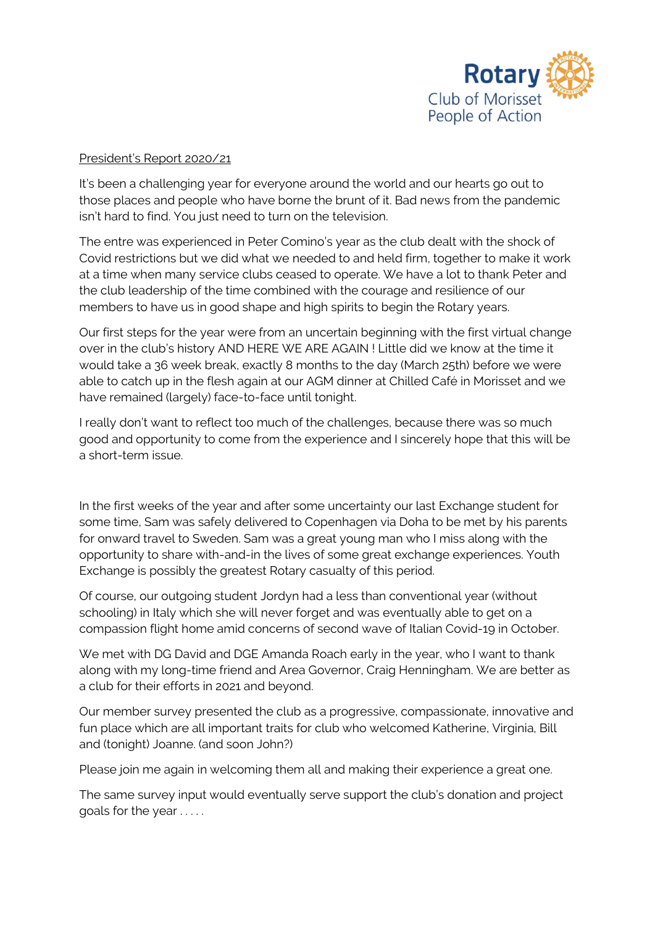

## President's Report 2020/21

It's been a challenging year for everyone around the world and our hearts go out to those places and people who have borne the brunt of it. Bad news from the pandemic isn't hard to find. You just need to turn on the television.

The entre was experienced in Peter Comino's year as the club dealt with the shock of Covid restrictions but we did what we needed to and held firm, together to make it work at a time when many service clubs ceased to operate. We have a lot to thank Peter and the club leadership of the time combined with the courage and resilience of our members to have us in good shape and high spirits to begin the Rotary years.

Our first steps for the year were from an uncertain beginning with the first virtual change over in the club's history AND HERE WE ARE AGAIN ! Little did we know at the time it would take a 36 week break, exactly 8 months to the day (March 25th) before we were able to catch up in the flesh again at our AGM dinner at Chilled Café in Morisset and we have remained (largely) face-to-face until tonight.

I really don't want to reflect too much of the challenges, because there was so much good and opportunity to come from the experience and I sincerely hope that this will be a short-term issue.

In the first weeks of the year and after some uncertainty our last Exchange student for some time, Sam was safely delivered to Copenhagen via Doha to be met by his parents for onward travel to Sweden. Sam was a great young man who I miss along with the opportunity to share with-and-in the lives of some great exchange experiences. Youth Exchange is possibly the greatest Rotary casualty of this period.

Of course, our outgoing student Jordyn had a less than conventional year (without schooling) in Italy which she will never forget and was eventually able to get on a compassion flight home amid concerns of second wave of Italian Covid-19 in October.

We met with DG David and DGE Amanda Roach early in the year, who I want to thank along with my long-time friend and Area Governor, Craig Henningham. We are better as a club for their efforts in 2021 and beyond.

Our member survey presented the club as a progressive, compassionate, innovative and fun place which are all important traits for club who welcomed Katherine, Virginia, Bill and (tonight) Joanne. (and soon John?)

Please join me again in welcoming them all and making their experience a great one.

The same survey input would eventually serve support the club's donation and project goals for the year . . . . .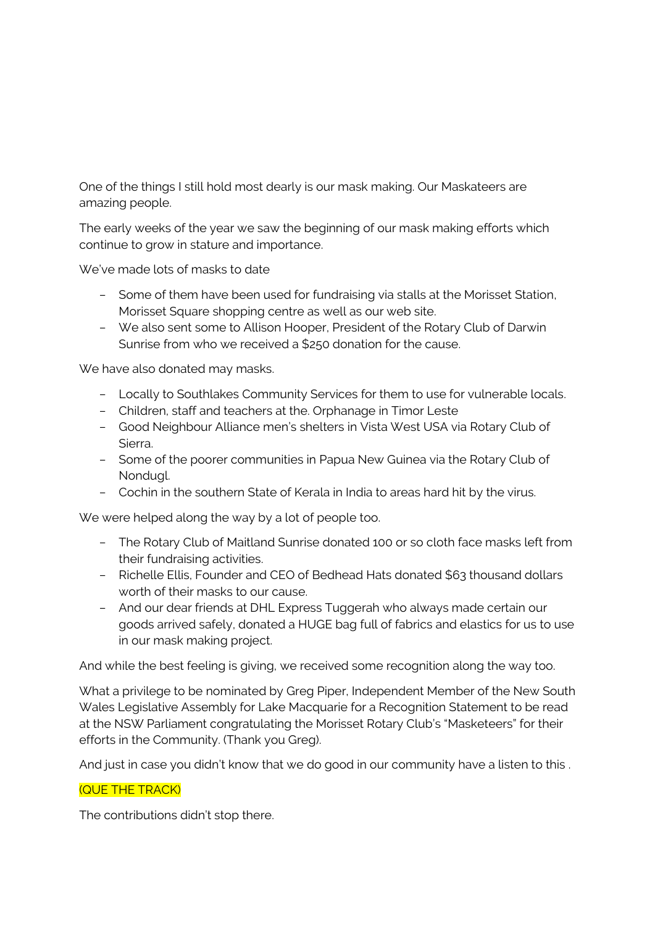One of the things I still hold most dearly is our mask making. Our Maskateers are amazing people.

The early weeks of the year we saw the beginning of our mask making efforts which continue to grow in stature and importance.

We've made lots of masks to date

- Some of them have been used for fundraising via stalls at the Morisset Station, Morisset Square shopping centre as well as our web site.
- We also sent some to Allison Hooper, President of the Rotary Club of Darwin Sunrise from who we received a \$250 donation for the cause.

We have also donated may masks.

- Locally to Southlakes Community Services for them to use for vulnerable locals.
- Children, staff and teachers at the. Orphanage in Timor Leste
- Good Neighbour Alliance men's shelters in Vista West USA via Rotary Club of Sierra.
- Some of the poorer communities in Papua New Guinea via the Rotary Club of Nondugl.
- Cochin in the southern State of Kerala in India to areas hard hit by the virus.

We were helped along the way by a lot of people too.

- The Rotary Club of Maitland Sunrise donated 100 or so cloth face masks left from their fundraising activities.
- Richelle Ellis, Founder and CEO of Bedhead Hats donated \$63 thousand dollars worth of their masks to our cause.
- And our dear friends at DHL Express Tuggerah who always made certain our goods arrived safely, donated a HUGE bag full of fabrics and elastics for us to use in our mask making project.

And while the best feeling is giving, we received some recognition along the way too.

What a privilege to be nominated by Greg Piper, Independent Member of the New South Wales Legislative Assembly for Lake Macquarie for a Recognition Statement to be read at the NSW Parliament congratulating the Morisset Rotary Club's "Masketeers" for their efforts in the Community. (Thank you Greg).

And just in case you didn't know that we do good in our community have a listen to this .

## (QUE THE TRACK)

The contributions didn't stop there.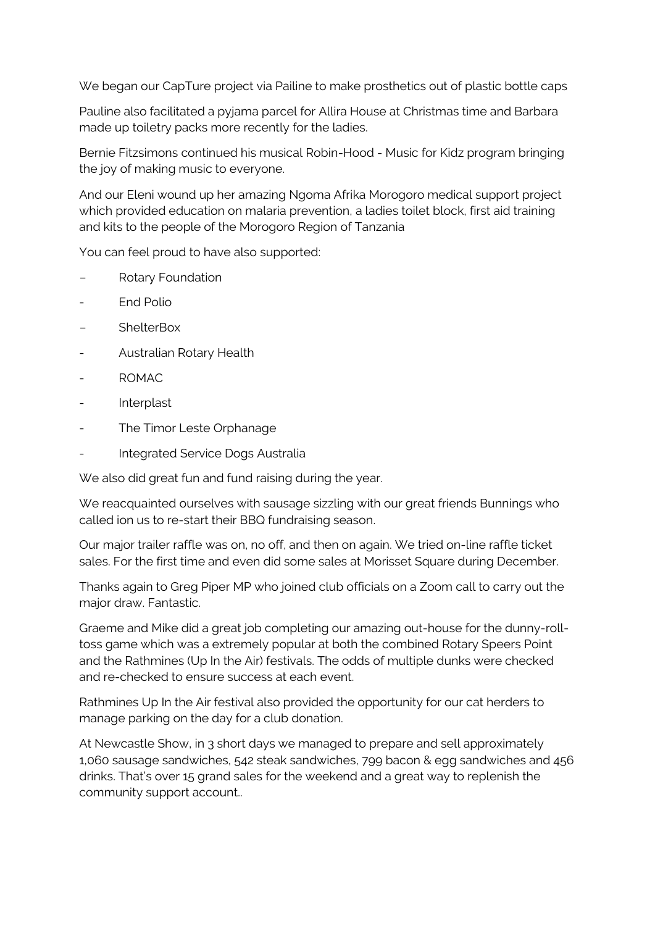We began our CapTure project via Pailine to make prosthetics out of plastic bottle caps

Pauline also facilitated a pyjama parcel for Allira House at Christmas time and Barbara made up toiletry packs more recently for the ladies.

Bernie Fitzsimons continued his musical Robin-Hood - Music for Kidz program bringing the joy of making music to everyone.

And our Eleni wound up her amazing Ngoma Afrika Morogoro medical support project which provided education on malaria prevention, a ladies toilet block, first aid training and kits to the people of the Morogoro Region of Tanzania

You can feel proud to have also supported:

- Rotary Foundation
- End Polio
- **ShelterBox**
- Australian Rotary Health
- ROMAC
- Interplast
- The Timor Leste Orphanage
- Integrated Service Dogs Australia

We also did great fun and fund raising during the year.

We reacquainted ourselves with sausage sizzling with our great friends Bunnings who called ion us to re-start their BBQ fundraising season.

Our major trailer raffle was on, no off, and then on again. We tried on-line raffle ticket sales. For the first time and even did some sales at Morisset Square during December.

Thanks again to Greg Piper MP who joined club officials on a Zoom call to carry out the major draw. Fantastic.

Graeme and Mike did a great job completing our amazing out-house for the dunny-rolltoss game which was a extremely popular at both the combined Rotary Speers Point and the Rathmines (Up In the Air) festivals. The odds of multiple dunks were checked and re-checked to ensure success at each event.

Rathmines Up In the Air festival also provided the opportunity for our cat herders to manage parking on the day for a club donation.

At Newcastle Show, in 3 short days we managed to prepare and sell approximately 1,060 sausage sandwiches, 542 steak sandwiches, 799 bacon & egg sandwiches and 456 drinks. That's over 15 grand sales for the weekend and a great way to replenish the community support account..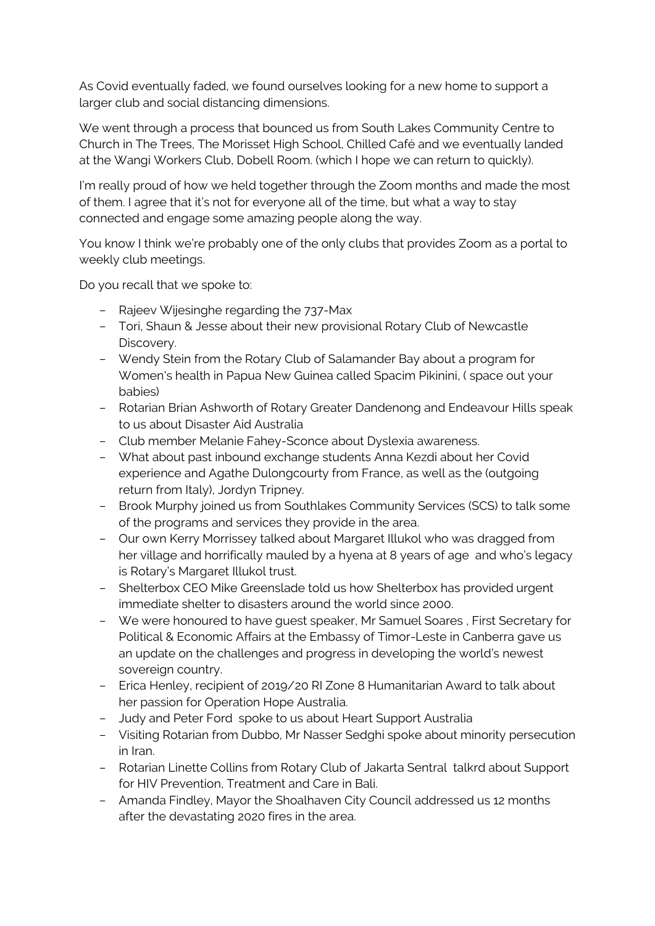As Covid eventually faded, we found ourselves looking for a new home to support a larger club and social distancing dimensions.

We went through a process that bounced us from South Lakes Community Centre to Church in The Trees, The Morisset High School, Chilled Café and we eventually landed at the Wangi Workers Club, Dobell Room. (which I hope we can return to quickly).

I'm really proud of how we held together through the Zoom months and made the most of them. I agree that it's not for everyone all of the time, but what a way to stay connected and engage some amazing people along the way.

You know I think we're probably one of the only clubs that provides Zoom as a portal to weekly club meetings.

Do you recall that we spoke to:

- Rajeev Wijesinghe regarding the 737-Max
- Tori, Shaun & Jesse about their new provisional Rotary Club of Newcastle Discovery.
- Wendy Stein from the Rotary Club of Salamander Bay about a program for Women's health in Papua New Guinea called Spacim Pikinini, ( space out your babies)
- Rotarian Brian Ashworth of Rotary Greater Dandenong and Endeavour Hills speak to us about Disaster Aid Australia
- Club member Melanie Fahey-Sconce about Dyslexia awareness.
- What about past inbound exchange students Anna Kezdi about her Covid experience and Agathe Dulongcourty from France, as well as the (outgoing return from Italy), Jordyn Tripney.
- Brook Murphy joined us from Southlakes Community Services (SCS) to talk some of the programs and services they provide in the area.
- Our own Kerry Morrissey talked about Margaret Illukol who was dragged from her village and horrifically mauled by a hyena at 8 years of age and who's legacy is Rotary's Margaret Illukol trust.
- Shelterbox CEO Mike Greenslade told us how Shelterbox has provided urgent immediate shelter to disasters around the world since 2000.
- We were honoured to have guest speaker, Mr Samuel Soares , First Secretary for Political & Economic Affairs at the Embassy of Timor-Leste in Canberra gave us an update on the challenges and progress in developing the world's newest sovereign country.
- Erica Henley, recipient of 2019/20 RI Zone 8 Humanitarian Award to talk about her passion for Operation Hope Australia.
- Judy and Peter Ford spoke to us about Heart Support Australia
- Visiting Rotarian from Dubbo, Mr Nasser Sedghi spoke about minority persecution in Iran.
- Rotarian Linette Collins from Rotary Club of Jakarta Sentral talkrd about Support for HIV Prevention, Treatment and Care in Bali.
- Amanda Findley, Mayor the Shoalhaven City Council addressed us 12 months after the devastating 2020 fires in the area.